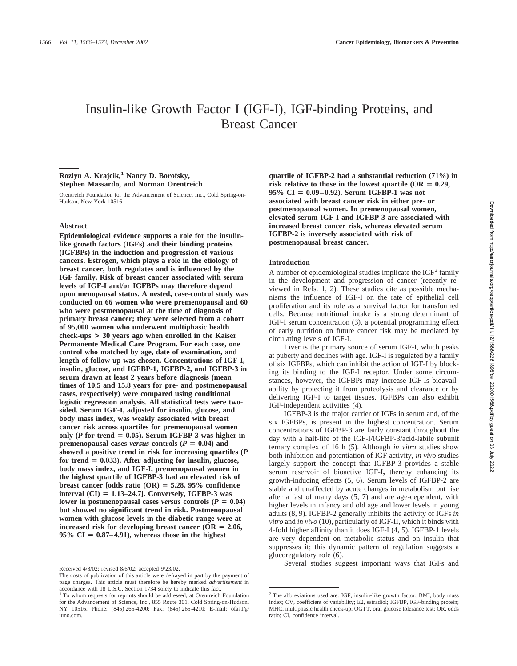# Insulin-like Growth Factor I (IGF-I), IGF-binding Proteins, and Breast Cancer

# **Rozlyn A. Krajcik,1 Nancy D. Borofsky, Stephen Massardo, and Norman Orentreich**

Orentreich Foundation for the Advancement of Science, Inc., Cold Spring-on-Hudson, New York 10516

#### **Abstract**

**Epidemiological evidence supports a role for the insulinlike growth factors (IGFs) and their binding proteins (IGFBPs) in the induction and progression of various cancers. Estrogen, which plays a role in the etiology of breast cancer, both regulates and is influenced by the IGF family. Risk of breast cancer associated with serum levels of IGF-I and/or IGFBPs may therefore depend upon menopausal status. A nested, case-control study was conducted on 66 women who were premenopausal and 60 who were postmenopausal at the time of diagnosis of primary breast cancer; they were selected from a cohort of 95,000 women who underwent multiphasic health check-ups > 30 years ago when enrolled in the Kaiser Permanente Medical Care Program. For each case, one control who matched by age, date of examination, and length of follow-up was chosen. Concentrations of IGF-I, insulin, glucose, and IGFBP-1, IGFBP-2, and IGFBP-3 in serum drawn at least 2 years before diagnosis (mean times of 10.5 and 15.8 years for pre- and postmenopausal cases, respectively) were compared using conditional logistic regression analysis. All statistical tests were twosided. Serum IGF-I, adjusted for insulin, glucose, and body mass index, was weakly associated with breast cancer risk across quartiles for premenopausal women** only ( $P$  for trend  $= 0.05$ ). Serum IGFBP-3 was higher in **premenopausal cases** *versus* **controls** ( $P = 0.04$ ) and **showed a positive trend in risk for increasing quartiles (***P* **for trend 0.033). After adjusting for insulin, glucose, body mass index, and IGF-I, premenopausal women in the highest quartile of IGFBP-3 had an elevated risk of breast cancer [odds ratio**  $(OR) = 5.28$ **, 95% confidence interval (CI) 1.13–24.7]. Conversely, IGFBP-3 was** lower in postmenopausal cases *versus* controls  $(P = 0.04)$ **but showed no significant trend in risk. Postmenopausal women with glucose levels in the diabetic range were at increased risk for developing breast cancer (OR**  $= 2.06$ **,**  $95\% \text{ CI} = 0.87-4.91$ , whereas those in the highest

**quartile of IGFBP-2 had a substantial reduction (71%) in** risk relative to those in the lowest quartile  $(OR = 0.29,$ **95% CI 0.09–0.92). Serum IGFBP-1 was not associated with breast cancer risk in either pre- or postmenopausal women. In premenopausal women, elevated serum IGF-I and IGFBP-3 are associated with increased breast cancer risk, whereas elevated serum IGFBP-2 is inversely associated with risk of postmenopausal breast cancer.**

#### **Introduction**

A number of epidemiological studies implicate the  $IGF<sup>2</sup>$  family in the development and progression of cancer (recently reviewed in Refs. 1, 2). These studies cite as possible mechanisms the influence of IGF-I on the rate of epithelial cell proliferation and its role as a survival factor for transformed cells. Because nutritional intake is a strong determinant of IGF-I serum concentration (3), a potential programming effect of early nutrition on future cancer risk may be mediated by circulating levels of IGF-I.

Liver is the primary source of serum IGF-I, which peaks at puberty and declines with age. IGF-I is regulated by a family of six IGFBPs, which can inhibit the action of IGF-I by blocking its binding to the IGF-I receptor. Under some circumstances, however, the IGFBPs may increase IGF-Is bioavailability by protecting it from proteolysis and clearance or by delivering IGF-I to target tissues. IGFBPs can also exhibit IGF-independent activities (4).

IGFBP-3 is the major carrier of IGFs in serum and, of the six IGFBPs, is present in the highest concentration. Serum concentrations of IGFBP-3 are fairly constant throughout the day with a half-life of the IGF-I/IGFBP-3/acid-labile subunit ternary complex of 16 h (5). Although *in vitro* studies show both inhibition and potentiation of IGF activity, *in vivo* studies largely support the concept that IGFBP-3 provides a stable serum reservoir of bioactive IGF-I**,** thereby enhancing its growth-inducing effects (5, 6). Serum levels of IGFBP-2 are stable and unaffected by acute changes in metabolism but rise after a fast of many days (5, 7) and are age-dependent, with higher levels in infancy and old age and lower levels in young adults (8, 9). IGFBP-2 generally inhibits the activity of IGFs *in vitro* and *in vivo* (10), particularly of IGF-II, which it binds with 4-fold higher affinity than it does IGF-I (4, 5). IGFBP-1 levels are very dependent on metabolic status and on insulin that suppresses it; this dynamic pattern of regulation suggests a glucoregulatory role (6).

Several studies suggest important ways that IGFs and Received 4/8/02; revised 8/6/02; accepted 9/23/02.

The costs of publication of this article were defrayed in part by the payment of page charges. This article must therefore be hereby marked *advertisement* in accordance with 18 U.S.C. Section 1734 solely to indicate this fact.

<sup>&</sup>lt;sup>1</sup> To whom requests for reprints should be addressed, at Orentreich Foundation for the Advancement of Science, Inc., 855 Route 301, Cold Spring-on-Hudson, NY 10516. Phone: (845) 265-4200; Fax: (845) 265-4210; E-mail: ofas1@ juno.com.

<sup>2</sup> The abbreviations used are: IGF, insulin-like growth factor; BMI, body mass index; CV, coefficient of variability; E2, estradiol; IGFBP, IGF-binding protein; MHC, multiphasic health check-up; OGTT, oral glucose tolerance test; OR, odds ratio; CI, confidence interval.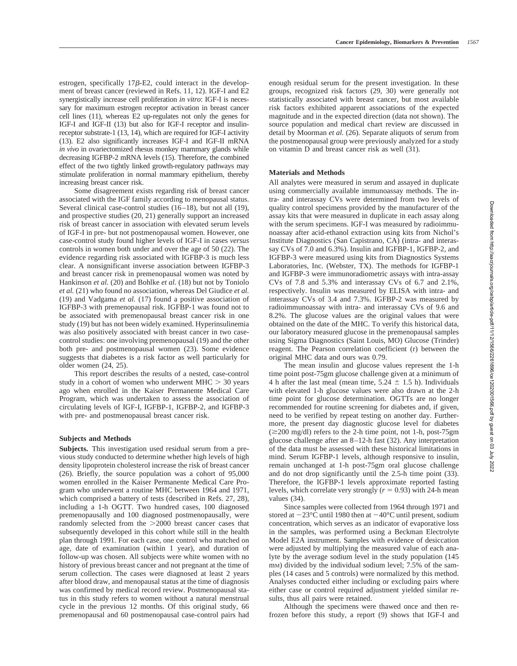estrogen, specifically  $17\beta$ -E2, could interact in the development of breast cancer (reviewed in Refs. 11, 12). IGF-I and E2 synergistically increase cell proliferation *in vitro*: IGF-I is necessary for maximum estrogen receptor activation in breast cancer cell lines (11), whereas E2 up-regulates not only the genes for IGF-I and IGF-II (13) but also for IGF-I receptor and insulinreceptor substrate-1 (13, 14), which are required for IGF-I activity (13). E2 also significantly increases IGF-I and IGF-II mRNA *in vivo* in ovariectomized rhesus monkey mammary glands while decreasing IGFBP-2 mRNA levels (15). Therefore, the combined effect of the two tightly linked growth-regulatory pathways may stimulate proliferation in normal mammary epithelium, thereby increasing breast cancer risk.

Some disagreement exists regarding risk of breast cancer associated with the IGF family according to menopausal status. Several clinical case-control studies (16–18), but not all (19), and prospective studies (20, 21) generally support an increased risk of breast cancer in association with elevated serum levels of IGF-I in pre- but not postmenopausal women. However, one case-control study found higher levels of IGF-I in cases *versus* controls in women both under and over the age of 50 (22). The evidence regarding risk associated with IGFBP-3 is much less clear. A nonsignificant inverse association between IGFBP-3 and breast cancer risk in premenopausal women was noted by Hankinson *et al.* (20) and Bohlke *et al.* (18) but not by Toniolo *et al.* (21) who found no association, whereas Del Giudice *et al.* (19) and Vadgama *et al.* (17) found a positive association of IGFBP-3 with premenopausal risk. IGFBP-1 was found not to be associated with premenopausal breast cancer risk in one study (19) but has not been widely examined. Hyperinsulinemia was also positively associated with breast cancer in two casecontrol studies: one involving premenopausal (19) and the other both pre- and postmenopausal women (23). Some evidence suggests that diabetes is a risk factor as well particularly for older women (24, 25).

This report describes the results of a nested, case-control study in a cohort of women who underwent  $MHC > 30$  years ago when enrolled in the Kaiser Permanente Medical Care Program, which was undertaken to assess the association of circulating levels of IGF-I, IGFBP-1, IGFBP-2, and IGFBP-3 with pre- and postmenopausal breast cancer risk.

## **Subjects and Methods**

**Subjects.** This investigation used residual serum from a previous study conducted to determine whether high levels of high density lipoprotein cholesterol increase the risk of breast cancer (26). Briefly, the source population was a cohort of 95,000 women enrolled in the Kaiser Permanente Medical Care Program who underwent a routine MHC between 1964 and 1971, which comprised a battery of tests (described in Refs. 27, 28), including a 1-h OGTT. Two hundred cases, 100 diagnosed premenopausally and 100 diagnosed postmenopausally, were randomly selected from the 2000 breast cancer cases that subsequently developed in this cohort while still in the health plan through 1991. For each case, one control who matched on age, date of examination (within 1 year), and duration of follow-up was chosen. All subjects were white women with no history of previous breast cancer and not pregnant at the time of serum collection. The cases were diagnosed at least 2 years after blood draw, and menopausal status at the time of diagnosis was confirmed by medical record review. Postmenopausal status in this study refers to women without a natural menstrual cycle in the previous 12 months. Of this original study, 66 premenopausal and 60 postmenopausal case-control pairs had enough residual serum for the present investigation. In these groups, recognized risk factors (29, 30) were generally not statistically associated with breast cancer, but most available risk factors exhibited apparent associations of the expected magnitude and in the expected direction (data not shown). The source population and medical chart review are discussed in detail by Moorman *et al.* (26). Separate aliquots of serum from the postmenopausal group were previously analyzed for a study on vitamin D and breast cancer risk as well (31).

## **Materials and Methods**

All analytes were measured in serum and assayed in duplicate using commercially available immunoassay methods. The intra- and interassay CVs were determined from two levels of quality control specimens provided by the manufacturer of the assay kits that were measured in duplicate in each assay along with the serum specimens. IGF-I was measured by radioimmunoassay after acid-ethanol extraction using kits from Nichol's Institute Diagnostics (San Capistrano, CA) (intra- and interassay CVs of 7.0 and 6.3%). Insulin and IGFBP-1, IGFBP-2, and IGFBP-3 were measured using kits from Diagnostics Systems Laboratories, Inc. (Webster, TX). The methods for IGFBP-1 and IGFBP-3 were immunoradiometric assays with intra-assay CVs of 7.8 and 5.3% and interassay CVs of 6.7 and 2.1%, respectively. Insulin was measured by ELISA with intra- and interassay CVs of 3.4 and 7.3%. IGFBP-2 was measured by radioimmunoassay with intra- and interassay CVs of 9.6 and 8.2%. The glucose values are the original values that were obtained on the date of the MHC. To verify this historical data, our laboratory measured glucose in the premenopausal samples using Sigma Diagnostics (Saint Louis, MO) Glucose (Trinder) reagent. The Pearson correlation coefficient (r) between the original MHC data and ours was 0.79.

The mean insulin and glucose values represent the 1-h time point post-75gm glucose challenge given at a minimum of 4 h after the last meal (mean time,  $5.24 \pm 1.5$  h). Individuals with elevated 1-h glucose values were also drawn at the 2-h time point for glucose determination. OGTTs are no longer recommended for routine screening for diabetes and, if given, need to be verified by repeat testing on another day. Furthermore, the present day diagnostic glucose level for diabetes  $(\geq 200 \text{ mg/dl})$  refers to the 2-h time point, not 1-h, post-75gm glucose challenge after an 8–12-h fast (32). Any interpretation of the data must be assessed with these historical limitations in mind. Serum IGFBP-1 levels, although responsive to insulin, remain unchanged at 1-h post-75gm oral glucose challenge and do not drop significantly until the 2.5-h time point (33). Therefore, the IGFBP-1 levels approximate reported fasting levels, which correlate very strongly  $(r = 0.93)$  with 24-h mean values (34).

Since samples were collected from 1964 through 1971 and stored at  $-23^{\circ}$ C until 1980 then at  $-40^{\circ}$ C until present, sodium concentration, which serves as an indicator of evaporative loss in the samples, was performed using a Beckman Electrolyte Model E2A instrument. Samples with evidence of desiccation were adjusted by multiplying the measured value of each analyte by the average sodium level in the study population (145 m<sub>M</sub>) divided by the individual sodium level; 7.5% of the samples (14 cases and 5 controls) were normalized by this method. Analyses conducted either including or excluding pairs where either case or control required adjustment yielded similar results, thus all pairs were retained.

Although the specimens were thawed once and then refrozen before this study, a report (9) shows that IGF-I and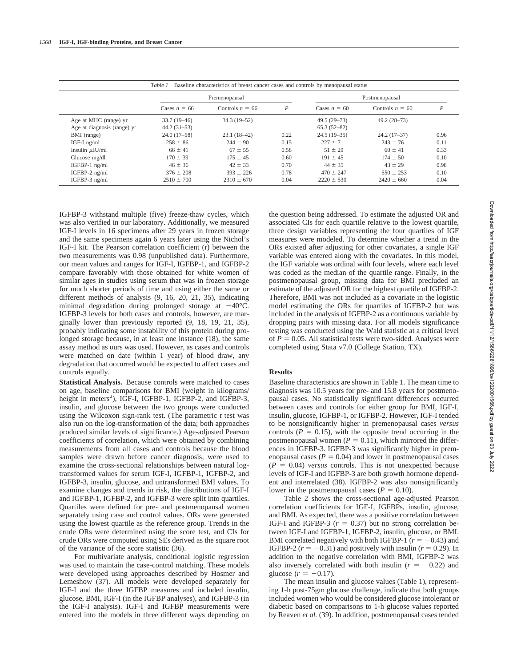| Baseline characteristics of breast cancer cases and controls by menopausal status<br>Table 1 |                |                   |                  |                |                   |                  |
|----------------------------------------------------------------------------------------------|----------------|-------------------|------------------|----------------|-------------------|------------------|
|                                                                                              | Premenopausal  |                   |                  | Postmenopausal |                   |                  |
|                                                                                              | Cases $n = 66$ | Controls $n = 66$ | $\boldsymbol{P}$ | Cases $n = 60$ | Controls $n = 60$ | $\boldsymbol{P}$ |
| Age at MHC (range) yr                                                                        | $33.7(19-46)$  | $34.3(19-52)$     |                  | $49.5(29-73)$  | $49.2(28-73)$     |                  |
| Age at diagnosis (range) yr                                                                  | $44.2(31-53)$  |                   |                  | $65.3(52-82)$  |                   |                  |
| BMI (range)                                                                                  | $24.0(17-58)$  | $23.1(18-42)$     | 0.22             | $24.5(19-35)$  | $24.2(17-37)$     | 0.96             |
| IGF-I $ng/ml$                                                                                | $258 \pm 86$   | $244 \pm 90$      | 0.15             | $227 \pm 71$   | $243 \pm 76$      | 0.11             |
| Insulin $\mu$ IU/ml                                                                          | $66 \pm 41$    | $67 \pm 55$       | 0.58             | $51 \pm 29$    | $60 \pm 41$       | 0.33             |
| Glucose mg/dl                                                                                | $170 \pm 39$   | $175 \pm 45$      | 0.60             | $191 \pm 45$   | $174 \pm 50$      | 0.10             |
| $IGFBP-1$ ng/ml                                                                              | $46 \pm 36$    | $42 \pm 33$       | 0.70             | $44 \pm 35$    | $43 \pm 29$       | 0.98             |
| IGFBP-2 ng/ml                                                                                | $376 \pm 208$  | $393 \pm 226$     | 0.78             | $470 \pm 247$  | $550 \pm 253$     | 0.10             |
| IGFBP-3 $ng/ml$                                                                              | $2510 \pm 700$ | $2310 \pm 670$    | 0.04             | $2220 \pm 530$ | $2420 \pm 660$    | 0.04             |

IGFBP-3 withstand multiple (five) freeze-thaw cycles, which was also verified in our laboratory. Additionally, we measured IGF-I levels in 16 specimens after 29 years in frozen storage and the same specimens again 6 years later using the Nichol's IGF-I kit. The Pearson correlation coefficient (r) between the two measurements was 0.98 (unpublished data). Furthermore, our mean values and ranges for IGF-I, IGFBP-1, and IGFBP-2 compare favorably with those obtained for white women of similar ages in studies using serum that was in frozen storage for much shorter periods of time and using either the same or different methods of analysis (9, 16, 20, 21, 35), indicating minimal degradation during prolonged storage at  $-40^{\circ}$ C. IGFBP-3 levels for both cases and controls, however, are marginally lower than previously reported (9, 18, 19, 21, 35), probably indicating some instability of this protein during prolonged storage because, in at least one instance (18), the same assay method as ours was used. However, as cases and controls were matched on date (within 1 year) of blood draw, any degradation that occurred would be expected to affect cases and controls equally.

**Statistical Analysis.** Because controls were matched to cases on age, baseline comparisons for BMI (weight in kilograms/ height in meters<sup>2</sup>), IGF-I, IGFBP-1, IGFBP-2, and IGFBP-3, insulin, and glucose between the two groups were conducted using the Wilcoxon sign-rank test. (The parametric *t* test was also run on the log-transformation of the data; both approaches produced similar levels of significance.) Age-adjusted Pearson coefficients of correlation, which were obtained by combining measurements from all cases and controls because the blood samples were drawn before cancer diagnosis, were used to examine the cross-sectional relationships between natural logtransformed values for serum IGF-I, IGFBP-1, IGFBP-2, and IGFBP-3, insulin, glucose, and untransformed BMI values. To examine changes and trends in risk, the distributions of IGF-I and IGFBP-1, IGFBP-2, and IGFBP-3 were split into quartiles. Quartiles were defined for pre- and postmenopausal women separately using case and control values. ORs were generated using the lowest quartile as the reference group. Trends in the crude ORs were determined using the score test, and CIs for crude ORs were computed using SEs derived as the square root of the variance of the score statistic (36).

For multivariate analysis, conditional logistic regression was used to maintain the case-control matching. These models were developed using approaches described by Hosmer and Lemeshow (37). All models were developed separately for IGF-I and the three IGFBP measures and included insulin, glucose, BMI, IGF-I (in the IGFBP analyses), and IGFBP-3 (in the IGF-I analysis). IGF-I and IGFBP measurements were entered into the models in three different ways depending on

the question being addressed. To estimate the adjusted OR and associated CIs for each quartile relative to the lowest quartile, three design variables representing the four quartiles of IGF measures were modeled. To determine whether a trend in the ORs existed after adjusting for other covariates, a single IGF variable was entered along with the covariates. In this model, the IGF variable was ordinal with four levels, where each level was coded as the median of the quartile range. Finally, in the postmenopausal group, missing data for BMI precluded an estimate of the adjusted OR for the highest quartile of IGFBP-2. Therefore, BMI was not included as a covariate in the logistic model estimating the ORs for quartiles of IGFBP-2 but was included in the analysis of IGFBP-2 as a continuous variable by dropping pairs with missing data. For all models significance testing was conducted using the Wald statistic at a critical level of  $P = 0.05$ . All statistical tests were two-sided. Analyses were completed using Stata v7.0 (College Station, TX).

## **Results**

Baseline characteristics are shown in Table 1. The mean time to diagnosis was 10.5 years for pre- and 15.8 years for postmenopausal cases. No statistically significant differences occurred between cases and controls for either group for BMI, IGF-I, insulin, glucose, IGFBP-1, or IGFBP-2. However, IGF-I tended to be nonsignificantly higher in premenopausal cases *versus* controls  $(P = 0.15)$ , with the opposite trend occurring in the postmenopausal women ( $P = 0.11$ ), which mirrored the differences in IGFBP-3. IGFBP-3 was significantly higher in premenopausal cases ( $P = 0.04$ ) and lower in postmenopausal cases  $(P = 0.04)$  *versus* controls. This is not unexpected because levels of IGF-I and IGFBP-3 are both growth hormone dependent and interrelated (38). IGFBP-2 was also nonsignificantly lower in the postmenopausal cases ( $P = 0.10$ ).

Table 2 shows the cross-sectional age-adjusted Pearson correlation coefficients for IGF-I, IGFBPs, insulin, glucose, and BMI. As expected, there was a positive correlation between IGF-I and IGFBP-3  $(r = 0.37)$  but no strong correlation between IGF-I and IGFBP-1, IGFBP-2, insulin, glucose, or BMI. BMI correlated negatively with both IGFBP-1 ( $r = -0.43$ ) and IGFBP-2  $(r = -0.31)$  and positively with insulin  $(r = 0.29)$ . In addition to the negative correlation with BMI, IGFBP-2 was also inversely correlated with both insulin  $(r = -0.22)$  and glucose  $(r = -0.17)$ .

The mean insulin and glucose values (Table 1), representing 1-h post-75gm glucose challenge, indicate that both groups included women who would be considered glucose intolerant or diabetic based on comparisons to 1-h glucose values reported by Reaven *et al.* (39). In addition, postmenopausal cases tended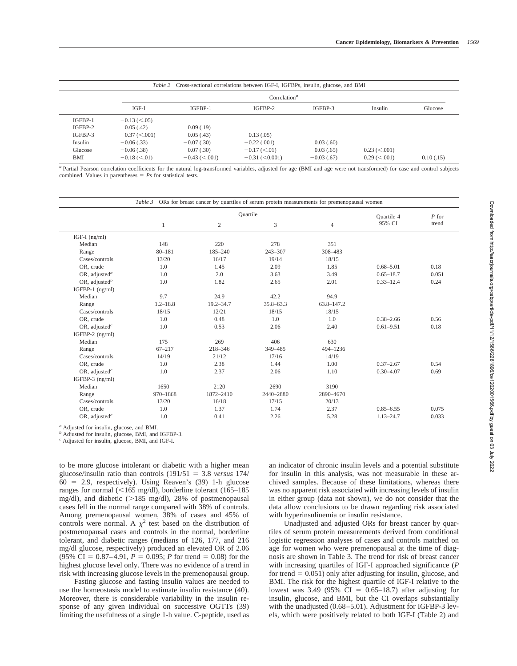|           |                    |                 | Table 2 Cross-sectional correlations between IGF-I, IGFBPs, insulin, glucose, and BMI |               |                    |            |
|-----------|--------------------|-----------------|---------------------------------------------------------------------------------------|---------------|--------------------|------------|
|           |                    |                 | Correlation <sup><math>a</math></sup>                                                 |               |                    |            |
|           | IGF-I              | IGFBP-1         | IGFBP-2                                                                               | IGFBP-3       | Insulin            | Glucose    |
| IGFBP-1   | $-0.13 \ (< .05)$  |                 |                                                                                       |               |                    |            |
| $IGFBP-2$ | 0.05(0.42)         | 0.09(0.19)      |                                                                                       |               |                    |            |
| IGFBP-3   | $0.37 \, (< 0.01)$ | 0.05(0.43)      | 0.13(0.05)                                                                            |               |                    |            |
| Insulin   | $-0.06$ (.33)      | $-0.07$ (.30)   | $-0.22$ (.001)                                                                        | 0.03(0.60)    |                    |            |
| Glucose   | $-0.06$ (.38)      | 0.07(.30)       | $-0.17 \, (< 0.01)$                                                                   | 0.03(0.65)    | $0.23 \le 0.001$   |            |
| BMI       | $-0.18 (< 0.01)$   | $-0.43$ (<.001) | $-0.31$ ( $< 0.001$ )                                                                 | $-0.03$ (.67) | $0.29 \, (< 0.01)$ | 0.10(0.15) |

*<sup>a</sup>* Partial Pearson correlation coefficients for the natural log-transformed variables, adjusted for age (BMI and age were not transformed) for case and control subjects combined. Values in parentheses  $= P<sub>s</sub>$  for statistical tests.

|                                        |              | Ouartile       |               |                |               |       |
|----------------------------------------|--------------|----------------|---------------|----------------|---------------|-------|
|                                        |              | $\overline{c}$ | 3             | $\overline{4}$ | 95% CI        | trend |
| IGF-I $(ng/ml)$                        |              |                |               |                |               |       |
| Median                                 | 148          | 220            | 278           | 351            |               |       |
| Range                                  | $80 - 181$   | 185-240        | 243-307       | 308-483        |               |       |
| Cases/controls                         | 13/20        | 16/17          | 19/14         | 18/15          |               |       |
| OR, crude                              | 1.0          | 1.45           | 2.09          | 1.85           | $0.68 - 5.01$ | 0.18  |
| OR, adjusted <sup>a</sup>              | 1.0          | 2.0            | 3.63          | 3.49           | $0.65 - 18.7$ | 0.051 |
| OR, adjusted <sup>b</sup>              | 1.0          | 1.82           | 2.65          | 2.01           | $0.33 - 12.4$ | 0.24  |
| IGFBP-1 $(ng/ml)$                      |              |                |               |                |               |       |
| Median                                 | 9.7          | 24.9           | 42.2          | 94.9           |               |       |
| Range                                  | $1.2 - 18.8$ | $19.2 - 34.7$  | $35.8 - 63.3$ | $63.8 - 147.2$ |               |       |
| Cases/controls                         | 18/15        | 12/21          | 18/15         | 18/15          |               |       |
| OR, crude                              | 1.0          | 0.48           | 1.0           | 1.0            | $0.38 - 2.66$ | 0.56  |
| OR, adjusted <sup><math>c</math></sup> | 1.0          | 0.53           | 2.06          | 2.40           | $0.61 - 9.51$ | 0.18  |
| IGFBP-2 $(ng/ml)$                      |              |                |               |                |               |       |
| Median                                 | 175          | 269            | 406           | 630            |               |       |
| Range                                  | $67 - 217$   | 218-346        | 349-485       | 494-1236       |               |       |
| Cases/controls                         | 14/19        | 21/12          | 17/16         | 14/19          |               |       |
| OR, crude                              | 1.0          | 2.38           | 1.44          | 1.00           | $0.37 - 2.67$ | 0.54  |
| OR, adjusted <sup><math>c</math></sup> | 1.0          | 2.37           | 2.06          | 1.10           | $0.30 - 4.07$ | 0.69  |
| IGFBP-3 $(ng/ml)$                      |              |                |               |                |               |       |
| Median                                 | 1650         | 2120           | 2690          | 3190           |               |       |
| Range                                  | 970-1868     | 1872-2410      | 2440-2880     | 2890-4670      |               |       |
| Cases/controls                         | 13/20        | 16/18          | 17/15         | 20/13          |               |       |
| OR, crude                              | 1.0          | 1.37           | 1.74          | 2.37           | $0.85 - 6.55$ | 0.075 |
| OR, adjusted <sup><math>c</math></sup> | 1.0          | 0.41           | 2.26          | 5.28           | $1.13 - 24.7$ | 0.033 |

*<sup>a</sup>* Adjusted for insulin, glucose, and BMI.

*<sup>b</sup>* Adjusted for insulin, glucose, BMI, and IGFBP-3.

*<sup>c</sup>* Adjusted for insulin, glucose, BMI, and IGF-I.

to be more glucose intolerant or diabetic with a higher mean glucose/insulin ratio than controls  $(191/51 = 3.8$  *versus* 174/  $60 = 2.9$ , respectively). Using Reaven's  $(39)$  1-h glucose ranges for normal  $\left($  < 165 mg/dl), borderline tolerant (165–185 mg/dl), and diabetic ( $>185$  mg/dl), 28% of postmenopausal cases fell in the normal range compared with 38% of controls. Among premenopausal women, 38% of cases and 45% of controls were normal. A  $\chi^2$  test based on the distribution of postmenopausal cases and controls in the normal, borderline tolerant, and diabetic ranges (medians of 126, 177, and 216 mg/dl glucose, respectively) produced an elevated OR of 2.06  $(95\% \text{ CI} = 0.87-4.91, P = 0.095; P \text{ for trend} = 0.08)$  for the highest glucose level only. There was no evidence of a trend in risk with increasing glucose levels in the premenopausal group.

Fasting glucose and fasting insulin values are needed to use the homeostasis model to estimate insulin resistance (40). Moreover, there is considerable variability in the insulin response of any given individual on successive OGTTs (39) limiting the usefulness of a single 1-h value. C-peptide, used as

an indicator of chronic insulin levels and a potential substitute for insulin in this analysis, was not measurable in these archived samples. Because of these limitations, whereas there was no apparent risk associated with increasing levels of insulin in either group (data not shown), we do not consider that the data allow conclusions to be drawn regarding risk associated with hyperinsulinemia or insulin resistance.

Unadjusted and adjusted ORs for breast cancer by quartiles of serum protein measurements derived from conditional logistic regression analyses of cases and controls matched on age for women who were premenopausal at the time of diagnosis are shown in Table 3. The trend for risk of breast cancer with increasing quartiles of IGF-I approached significance (*P* for trend  $= 0.051$ ) only after adjusting for insulin, glucose, and BMI. The risk for the highest quartile of IGF-I relative to the lowest was 3.49 (95% CI =  $0.65-18.7$ ) after adjusting for insulin, glucose, and BMI, but the CI overlaps substantially with the unadjusted (0.68–5.01). Adjustment for IGFBP-3 levels, which were positively related to both IGF-I (Table 2) and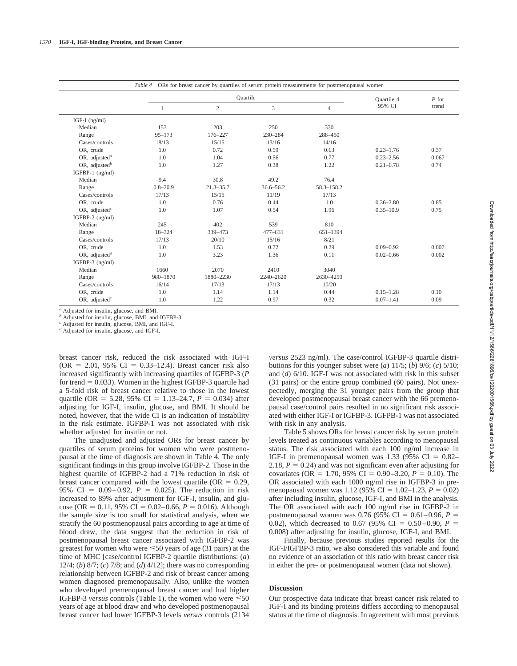| ORs for breast cancer by quartiles of serum protein measurements for postmenopausal women<br>Table 4 |              |                |               |                |               |         |
|------------------------------------------------------------------------------------------------------|--------------|----------------|---------------|----------------|---------------|---------|
|                                                                                                      |              | Ouartile       |               |                |               | $P$ for |
|                                                                                                      |              | $\overline{2}$ | 3             | $\overline{4}$ | 95% CI        | trend   |
| IGF-I $(ng/ml)$                                                                                      |              |                |               |                |               |         |
| Median                                                                                               | 153          | 203            | 250           | 330            |               |         |
| Range                                                                                                | $95 - 173$   | 176-227        | 230-284       | 288-450        |               |         |
| Cases/controls                                                                                       | 18/13        | 15/15          | 13/16         | 14/16          |               |         |
| OR. crude                                                                                            | 1.0          | 0.72           | 0.59          | 0.63           | $0.23 - 1.76$ | 0.37    |
| OR, adjusted <sup><math>a</math></sup>                                                               | 1.0          | 1.04           | 0.56          | 0.77           | $0.23 - 2.56$ | 0.067   |
| OR, adjusted <sup>b</sup>                                                                            | 1.0          | 1.27           | 0.38          | 1.22           | $0.21 - 6.78$ | 0.74    |
| IGFBP-1 $(ng/ml)$                                                                                    |              |                |               |                |               |         |
| Median                                                                                               | 9.4          | 30.8           | 49.2          | 76.4           |               |         |
| Range                                                                                                | $0.8 - 20.9$ | $21.3 - 35.7$  | $36.6 - 56.2$ | 58.3-158.2     |               |         |
| Cases/controls                                                                                       | 17/13        | 15/15          | 11/19         | 17/13          |               |         |
| OR, crude                                                                                            | 1.0          | 0.76           | 0.44          | 1.0            | $0.36 - 2.80$ | 0.85    |
| OR, adjusted <sup><math>c</math></sup>                                                               | 1.0          | 1.07           | 0.54          | 1.96           | $0.35 - 10.9$ | 0.75    |
| IGFBP-2 $(ng/ml)$                                                                                    |              |                |               |                |               |         |
| Median                                                                                               | 245          | 402            | 539           | 810            |               |         |
| Range                                                                                                | 18-324       | 339-473        | $477 - 631$   | 651-1394       |               |         |
| Cases/controls                                                                                       | 17/13        | 20/10          | 15/16         | 8/21           |               |         |
| OR, crude                                                                                            | 1.0          | 1.53           | 0.72          | 0.29           | $0.09 - 0.92$ | 0.007   |
| OR, adjusted <sup>d</sup>                                                                            | 1.0          | 3.23           | 1.36          | 0.11           | $0.02 - 0.66$ | 0.002   |
| IGFBP-3 (ng/ml)                                                                                      |              |                |               |                |               |         |
| Median                                                                                               | 1660         | 2070           | 2410          | 3040           |               |         |
| Range                                                                                                | 980-1870     | 1880-2230      | 2240-2620     | 2630-4250      |               |         |
| Cases/controls                                                                                       | 16/14        | 17/13          | 17/13         | 10/20          |               |         |
| OR, crude                                                                                            | 1.0          | 1.14           | 1.14          | 0.44           | $0.15 - 1.28$ | 0.10    |
| OR, adjusted <sup><math>c</math></sup>                                                               | 1.0          | 1.22           | 0.97          | 0.32           | $0.07 - 1.41$ | 0.09    |

*<sup>a</sup>* Adjusted for insulin, glucose, and BMI.

*<sup>b</sup>* Adjusted for insulin, glucose, BMI, and IGFBP-3.

*<sup>c</sup>* Adjusted for insulin, glucose, BMI, and IGF-I.

*<sup>d</sup>* Adjusted for insulin, glucose, and IGF-I.

breast cancer risk, reduced the risk associated with IGF-I  $(OR = 2.01, 95\% \text{ CI} = 0.33 - 12.4)$ . Breast cancer risk also increased significantly with increasing quartiles of IGFBP-3 (*P* for trend  $= 0.033$ ). Women in the highest IGFBP-3 quartile had a 5-fold risk of breast cancer relative to those in the lowest quartile (OR = 5.28, 95% CI = 1.13–24.7,  $P = 0.034$ ) after adjusting for IGF-I, insulin, glucose, and BMI. It should be noted, however, that the wide CI is an indication of instability in the risk estimate. IGFBP-1 was not associated with risk whether adjusted for insulin or not.

The unadjusted and adjusted ORs for breast cancer by quartiles of serum proteins for women who were postmenopausal at the time of diagnosis are shown in Table 4. The only significant findings in this group involve IGFBP-2. Those in the highest quartile of IGFBP-2 had a 71% reduction in risk of breast cancer compared with the lowest quartile ( $OR = 0.29$ , 95% CI =  $0.09-0.92$ ,  $P = 0.025$ ). The reduction in risk increased to 89% after adjustment for IGF-I, insulin, and glucose (OR =  $0.11$ , 95% CI =  $0.02-0.66$ ,  $P = 0.016$ ). Although the sample size is too small for statistical analysis, when we stratify the 60 postmenopausal pairs according to age at time of blood draw, the data suggest that the reduction in risk of postmenopausal breast cancer associated with IGFBP-2 was greatest for women who were  $\leq 50$  years of age (31 pairs) at the time of MHC [case/control IGFBP-2 quartile distributions: (*a*) 12/4; (*b*) 8/7; (*c*) 7/8; and (*d*) 4/12]; there was no corresponding relationship between IGFBP-2 and risk of breast cancer among women diagnosed premenopausally. Also, unlike the women who developed premenopausal breast cancer and had higher IGFBP-3 *versus* controls (Table 1), the women who were  $\leq 50$ years of age at blood draw and who developed postmenopausal breast cancer had lower IGFBP-3 levels *versus* controls (2134

*versus* 2523 ng/ml). The case/control IGFBP-3 quartile distributions for this younger subset were (*a*) 11/5; (*b*) 9/6; (*c*) 5/10; and (*d*) 6/10. IGF-I was not associated with risk in this subset (31 pairs) or the entire group combined (60 pairs). Not unexpectedly, merging the 31 younger pairs from the group that developed postmenopausal breast cancer with the 66 premenopausal case/control pairs resulted in no significant risk associated with either IGF-I or IGFBP-3. IGFPB-1 was not associated with risk in any analysis.

Table 5 shows ORs for breast cancer risk by serum protein levels treated as continuous variables according to menopausal status. The risk associated with each 100 ng/ml increase in IGF-I in premenopausal women was 1.33 (95% CI =  $0.82-$ 2.18,  $P = 0.24$ ) and was not significant even after adjusting for covariates (OR = 1.70, 95% CI = 0.90–3.20,  $P = 0.10$ ). The OR associated with each 1000 ng/ml rise in IGFBP-3 in premenopausal women was  $1.12$  (95% CI = 1.02–1.23,  $P = 0.02$ ) after including insulin, glucose, IGF-I, and BMI in the analysis. The OR associated with each 100 ng/ml rise in IGFBP-2 in postmenopausal women was 0.76 (95% CI =  $0.61-0.96$ ,  $P =$ 0.02), which decreased to 0.67 (95% CI = 0.50–0.90,  $P =$ 0.008) after adjusting for insulin, glucose, IGF-I, and BMI.

Finally, because previous studies reported results for the IGF-I/IGFBP-3 ratio, we also considered this variable and found no evidence of an association of this ratio with breast cancer risk in either the pre- or postmenopausal women (data not shown).

# **Discussion**

Our prospective data indicate that breast cancer risk related to IGF-I and its binding proteins differs according to menopausal status at the time of diagnosis. In agreement with most previous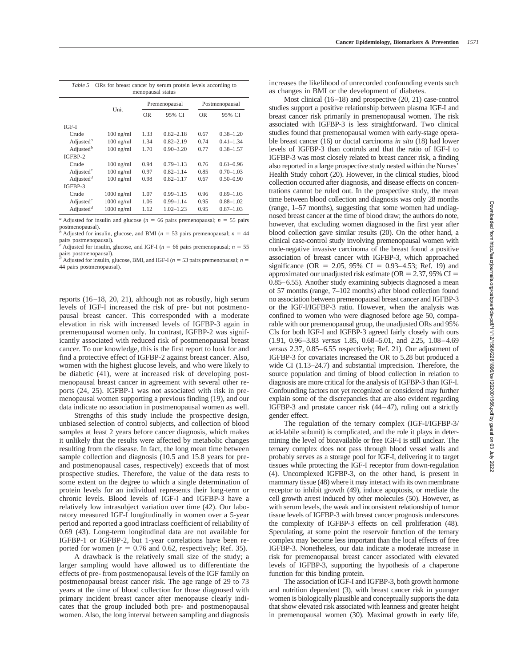|                                    | Unit         |           | Premenopausal | Postmenopausal |               |  |
|------------------------------------|--------------|-----------|---------------|----------------|---------------|--|
|                                    |              | <b>OR</b> | 95% CI        | <b>OR</b>      | 95% CI        |  |
| IGF-I                              |              |           |               |                |               |  |
| Crude                              | $100$ ng/ml  | 1.33      | $0.82 - 2.18$ | 0.67           | $0.38 - 1.20$ |  |
| Adjusted <sup>a</sup>              | $100$ ng/ml  | 1.34      | $0.82 - 2.19$ | 0.74           | $0.41 - 1.34$ |  |
| Adjusted <sup>b</sup>              | $100$ ng/ml  | 1.70      | $0.90 - 3.20$ | 0.77           | $0.38 - 1.57$ |  |
| IGFBP-2                            |              |           |               |                |               |  |
| Crude                              | $100$ ng/ml  | 0.94      | $0.79 - 1.13$ | 0.76           | $0.61 - 0.96$ |  |
| Adjusted <sup><math>c</math></sup> | $100$ ng/ml  | 0.97      | $0.82 - 1.14$ | 0.85           | $0.70 - 1.03$ |  |
| Adjusted <sup>d</sup>              | $100$ ng/ml  | 0.98      | $0.82 - 1.17$ | 0.67           | $0.50 - 0.90$ |  |
| IGFBP-3                            |              |           |               |                |               |  |
| Crude                              | $1000$ ng/ml | 1.07      | $0.99 - 1.15$ | 0.96           | $0.89 - 1.03$ |  |
| Adjusted $^c$                      | $1000$ ng/ml | 1.06      | $0.99 - 1.14$ | 0.95           | $0.88 - 1.02$ |  |
| Adjusted <sup>d</sup>              | $1000$ ng/ml | 1.12      | $1.02 - 1.23$ | 0.95           | $0.87 - 1.03$ |  |

postmenopausal). Adjusted for insulin, glucose, and BMI ( $n = 53$  pairs premenopausal;  $n = 44$ 

pairs postmenopausal).

Adjusted for insulin, glucose, and IGF-I ( $n = 66$  pairs premenopausal;  $n = 55$ pairs postmenopausal).

<sup>*d*</sup> Adjusted for insulin, glucose, BMI, and IGF-I ( $n = 53$  pairs premenopausal;  $n =$ 44 pairs postmenopausal).

reports (16–18, 20, 21), although not as robustly, high serum levels of IGF-I increased the risk of pre- but not postmenopausal breast cancer. This corresponded with a moderate elevation in risk with increased levels of IGFBP-3 again in premenopausal women only. In contrast, IGFBP-2 was significantly associated with reduced risk of postmenopausal breast cancer. To our knowledge, this is the first report to look for and find a protective effect of IGFBP-2 against breast cancer. Also, women with the highest glucose levels, and who were likely to be diabetic (41), were at increased risk of developing postmenopausal breast cancer in agreement with several other reports (24, 25). IGFBP-1 was not associated with risk in premenopausal women supporting a previous finding (19), and our data indicate no association in postmenopausal women as well.

Strengths of this study include the prospective design, unbiased selection of control subjects, and collection of blood samples at least 2 years before cancer diagnosis, which makes it unlikely that the results were affected by metabolic changes resulting from the disease. In fact, the long mean time between sample collection and diagnosis (10.5 and 15.8 years for preand postmenopausal cases, respectively) exceeds that of most prospective studies. Therefore, the value of the data rests to some extent on the degree to which a single determination of protein levels for an individual represents their long-term or chronic levels. Blood levels of IGF-I and IGFBP-3 have a relatively low intrasubject variation over time (42). Our laboratory measured IGF-I longitudinally in women over a 5-year period and reported a good intraclass coefficient of reliability of 0.69 (43). Long-term longitudinal data are not available for IGFBP-1 or IGFBP-2, but 1-year correlations have been reported for women  $(r = 0.76$  and 0.62, respectively; Ref. 35).

A drawback is the relatively small size of the study; a larger sampling would have allowed us to differentiate the effects of pre- from postmenopausal levels of the IGF family on postmenopausal breast cancer risk. The age range of 29 to 73 years at the time of blood collection for those diagnosed with primary incident breast cancer after menopause clearly indicates that the group included both pre- and postmenopausal women. Also, the long interval between sampling and diagnosis increases the likelihood of unrecorded confounding events such as changes in BMI or the development of diabetes.

Most clinical (16–18) and prospective (20, 21) case-control studies support a positive relationship between plasma IGF-I and breast cancer risk primarily in premenopausal women. The risk associated with IGFBP-3 is less straightforward. Two clinical studies found that premenopausal women with early-stage operable breast cancer (16) or ductal carcinoma *in situ* (18) had lower levels of IGFBP-3 than controls and that the ratio of IGF-I to IGFBP-3 was most closely related to breast cancer risk, a finding also reported in a large prospective study nested within the Nurses' Health Study cohort (20). However, in the clinical studies, blood collection occurred after diagnosis, and disease effects on concentrations cannot be ruled out. In the prospective study, the mean time between blood collection and diagnosis was only 28 months (range, 1–57 months), suggesting that some women had undiagnosed breast cancer at the time of blood draw; the authors do note, however, that excluding women diagnosed in the first year after blood collection gave similar results (20). On the other hand, a clinical case-control study involving premenopausal women with node-negative invasive carcinoma of the breast found a positive association of breast cancer with IGFBP-3, which approached significance (OR = 2.05, 95% CI = 0.93–4.53; Ref. 19) and approximated our unadjusted risk estimate ( $OR = 2.37$ , 95%  $CI =$ 0.85–6.55). Another study examining subjects diagnosed a mean of 57 months (range, 7–102 months) after blood collection found no association between premenopausal breast cancer and IGFBP-3 or the IGF-I/IGFBP-3 ratio. However, when the analysis was confined to women who were diagnosed before age 50, comparable with our premenopausal group, the unadjusted ORs and 95% CIs for both IGF-I and IGFBP-3 agreed fairly closely with ours (1.91, 0.96–3.83 *versus* 1.85, 0.68–5.01, and 2.25, 1.08–4.69 *versus* 2.37, 0.85–6.55 respectively; Ref. 21). Our adjustment of IGFBP-3 for covariates increased the OR to 5.28 but produced a wide CI (1.13–24.7) and substantial imprecision. Therefore, the source population and timing of blood collection in relation to diagnosis are more critical for the analysis of IGFBP-3 than IGF-I. Confounding factors not yet recognized or considered may further explain some of the discrepancies that are also evident regarding IGFBP-3 and prostate cancer risk (44–47), ruling out a strictly gender effect.

The regulation of the ternary complex (IGF-I/IGFBP-3/ acid-labile subunit) is complicated, and the role it plays in determining the level of bioavailable or free IGF-I is still unclear. The ternary complex does not pass through blood vessel walls and probably serves as a storage pool for IGF-I, delivering it to target tissues while protecting the IGF-I receptor from down-regulation (4). Uncomplexed IGFBP-3, on the other hand, is present in mammary tissue (48) where it may interact with its own membrane receptor to inhibit growth (49), induce apoptosis, or mediate the cell growth arrest induced by other molecules (50). However, as with serum levels, the weak and inconsistent relationship of tumor tissue levels of IGFBP-3 with breast cancer prognosis underscores the complexity of IGFBP-3 effects on cell proliferation (48). Speculating, at some point the reservoir function of the ternary complex may become less important than the local effects of free IGFBP-3. Nonetheless, our data indicate a moderate increase in risk for premenopausal breast cancer associated with elevated levels of IGFBP-3, supporting the hypothesis of a chaperone function for this binding protein.

The association of IGF-I and IGFBP-3, both growth hormone and nutrition dependent (3), with breast cancer risk in younger women is biologically plausible and conceptually supports the data that show elevated risk associated with leanness and greater height in premenopausal women (30). Maximal growth in early life,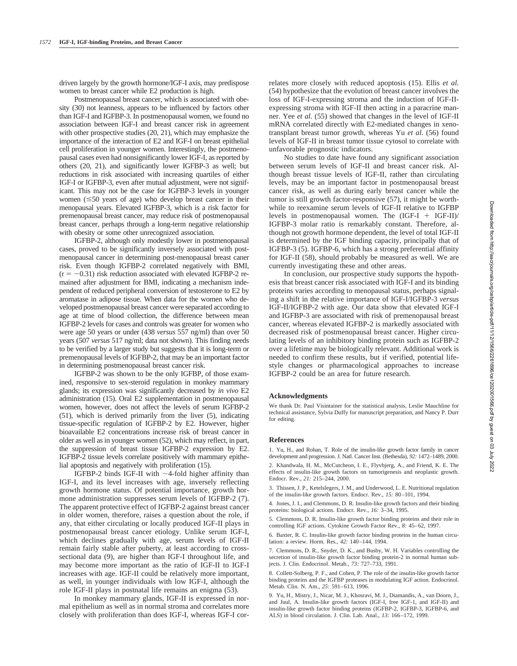driven largely by the growth hormone/IGF-I axis, may predispose women to breast cancer while E2 production is high.

Postmenopausal breast cancer, which is associated with obesity (30) not leanness, appears to be influenced by factors other than IGF-I and IGFBP-3. In postmenopausal women, we found no association between IGF-I and breast cancer risk in agreement with other prospective studies (20, 21), which may emphasize the importance of the interaction of E2 and IGF-I on breast epithelial cell proliferation in younger women. Interestingly, the postmenopausal cases even had nonsignificantly lower IGF-I, as reported by others (20, 21), and significantly lower IGFBP-3 as well; but reductions in risk associated with increasing quartiles of either IGF-I or IGFBP-3, even after mutual adjustment, were not significant. This may not be the case for IGFBP-3 levels in younger women  $(\leq 50$  years of age) who develop breast cancer in their menopausal years. Elevated IGFBP-3, which is a risk factor for premenopausal breast cancer, may reduce risk of postmenopausal breast cancer, perhaps through a long-term negative relationship with obesity or some other unrecognized association.

IGFBP-2, although only modestly lower in postmenopausal cases, proved to be significantly inversely associated with postmenopausal cancer in determining post-menopausal breast caner risk. Even though IGFBP-2 correlated negatively with BMI,  $(r = -0.31)$  risk reduction associated with elevated IGFBP-2 remained after adjustment for BMI, indicating a mechanism independent of reduced peripheral conversion of testosterone to E2 by aromatase in adipose tissue. When data for the women who developed postmenopausal breast cancer were separated according to age at time of blood collection, the difference between mean IGFBP-2 levels for cases and controls was greater for women who were age 50 years or under (438 *versus* 557 ng/ml) than over 50 years (507 *versus* 517 ng/ml; data not shown). This finding needs to be verified by a larger study but suggests that it is long-term or premenopausal levels of IGFBP-2, that may be an important factor in determining postmenopausal breast cancer risk.

IGFBP-2 was shown to be the only IGFBP, of those examined, responsive to sex-steroid regulation in monkey mammary glands; its expression was significantly decreased by *in vivo* E2 administration (15). Oral E2 supplementation in postmenopausal women, however, does not affect the levels of serum IGFBP-2 (51), which is derived primarily from the liver (5), indicating tissue-specific regulation of IGFBP-2 by E2. However, higher bioavailable E2 concentrations increase risk of breast cancer in older as well as in younger women (52), which may reflect, in part, the suppression of breast tissue IGFBP-2 expression by E2. IGFBP-2 tissue levels correlate positively with mammary epithelial apoptosis and negatively with proliferation (15).

IGFBP-2 binds IGF-II with  $\sim$  4-fold higher affinity than IGF-I, and its level increases with age, inversely reflecting growth hormone status. Of potential importance, growth hormone administration suppresses serum levels of IGFBP-2 (7). The apparent protective effect of IGFBP-2 against breast cancer in older women, therefore, raises a question about the role, if any, that either circulating or locally produced IGF-II plays in postmenopausal breast cancer etiology. Unlike serum IGF-I, which declines gradually with age, serum levels of IGF-II remain fairly stable after puberty, at least according to crosssectional data (9), are higher than IGF-I throughout life, and may become more important as the ratio of IGF-II to IGF-I increases with age. IGF-II could be relatively more important, as well, in younger individuals with low IGF-I, although the role IGF-II plays in postnatal life remains an enigma (53).

In monkey mammary glands, IGF-II is expressed in normal epithelium as well as in normal stroma and correlates more closely with proliferation than does IGF-I, whereas IGF-I correlates more closely with reduced apoptosis (15). Ellis *et al.* (54) hypothesize that the evolution of breast cancer involves the loss of IGF-I-expressing stroma and the induction of IGF-IIexpressing stroma with IGF-II then acting in a paracrine manner. Yee *et al.* (55) showed that changes in the level of IGF-II mRNA correlated directly with E2-mediated changes in xenotransplant breast tumor growth, whereas Yu *et al.* (56) found levels of IGF-II in breast tumor tissue cytosol to correlate with unfavorable prognostic indicators.

No studies to date have found any significant association between serum levels of IGF-II and breast cancer risk. Although breast tissue levels of IGF-II, rather than circulating levels, may be an important factor in postmenopausal breast cancer risk, as well as during early breast cancer while the tumor is still growth factor-responsive (57), it might be worthwhile to reexamine serum levels of IGF-II relative to IGFBP levels in postmenopausal women. The  $(IGF-I + IGF-II)/$ IGFBP-3 molar ratio is remarkably constant. Therefore, although not growth hormone dependent, the level of total IGF-II is determined by the IGF binding capacity, principally that of IGFBP-3 (5). IGFBP-6, which has a strong preferential affinity for IGF-II (58), should probably be measured as well. We are currently investigating these and other areas.

In conclusion, our prospective study supports the hypothesis that breast cancer risk associated with IGF-I and its binding proteins varies according to menopausal status, perhaps signaling a shift in the relative importance of IGF-I/IGFBP-3 *versus* IGF-II/IGFBP-2 with age. Our data show that elevated IGF-I and IGFBP-3 are associated with risk of premenopausal breast cancer, whereas elevated IGFBP-2 is markedly associated with decreased risk of postmenopausal breast cancer. Higher circulating levels of an inhibitory binding protein such as IGFBP-2 over a lifetime may be biologically relevant. Additional work is needed to confirm these results, but if verified, potential lifestyle changes or pharmacological approaches to increase IGFBP-2 could be an area for future research.

#### **Acknowledgments**

We thank Dr. Paul Visintainer for the statistical analysis, Leslie Mauchline for technical assistance, Sylvia Duffy for manuscript preparation, and Nancy P. Durr for editing.

#### **References**

1. Yu, H., and Rohan, T. Role of the insulin-like growth factor family in cancer development and progression. J. Natl. Cancer Inst. (Bethesda), *92:* 1472–1489, 2000. 2. Khandwala, H. M., McCutcheon, I. E., Flyvbjerg, A., and Friend, K. E. The effects of insulin-like growth factors on tumorigenesis and neoplastic growth. Endocr. Rev., *21:* 215–244, 2000.

3. Thissen, J. P., Ketelslegers, J. M., and Underwood, L. E. Nutritional regulation of the insulin-like growth factors. Endocr. Rev., *15:* 80–101, 1994.

4. Jones, J. I., and Clemmons, D. R. Insulin-like growth factors and their binding proteins: biological actions. Endocr. Rev., *16:* 3–34, 1995.

5. Clemmons, D. R. Insulin-like growth factor binding proteins and their role in controlling IGF actions. Cytokine Growth Factor Rev., *8:* 45–62, 1997.

6. Baxter, R. C. Insulin-like growth factor binding proteins in the human circulation: a review. Horm. Res., *42:* 140–144, 1994.

7. Clemmons, D. R., Snyder, D. K., and Busby, W. H. Variables controlling the secretion of insulin-like growth factor binding protein-2 in normal human subjects. J. Clin. Endocrinol. Metab., *73:* 727–733, 1991.

8. Collett-Solberg, P. F., and Cohen, P. The role of the insulin-like growth factor binding proteins and the IGFBP proteases in modulating IGF action. Endocrinol. Metab. Clin. N. Am., *25:* 591–613, 1996.

9. Yu, H., Mistry, J., Nicar, M. J., Khosravi, M. J., Diamandis, A., van Doorn, J., and Juul, A. Insulin-like growth factors (IGF-I, free IGF-1, and IGF-II) and insulin-like growth factor binding proteins (IGFBP-2, IGFBP-3, IGFBP-6, and ALS) in blood circulation. J. Clin. Lab. Anal., *13:* 166–172, 1999.